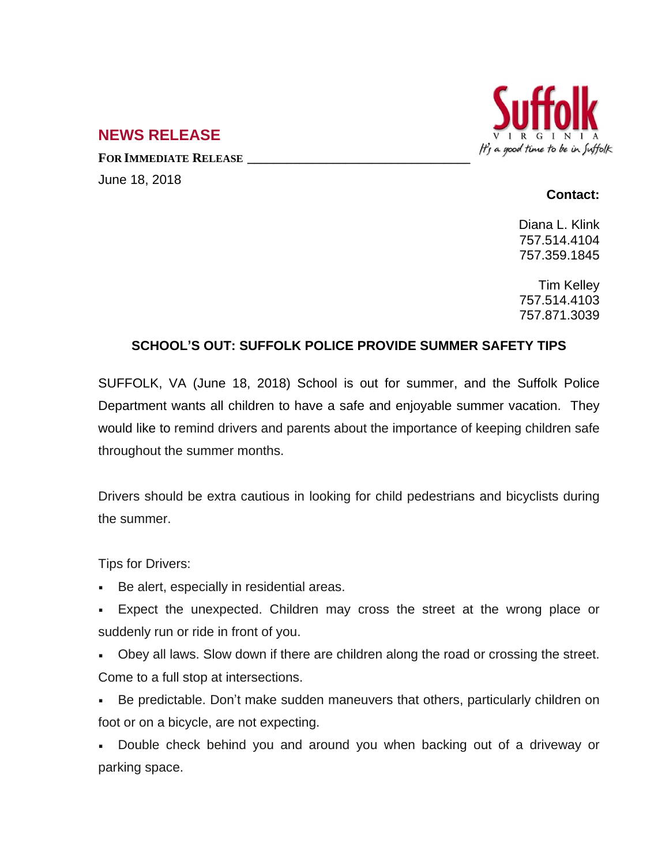

## **NEWS RELEASE**

**FOR IMMEDIATE RELEASE \_\_\_\_\_\_\_\_\_\_\_\_\_\_\_\_\_\_\_\_\_\_\_\_\_\_\_\_\_\_\_\_\_\_** June 18, 2018

## **Contact:**

Diana L. Klink 757.514.4104 757.359.1845

Tim Kelley 757.514.4103 757.871.3039

## **SCHOOL'S OUT: SUFFOLK POLICE PROVIDE SUMMER SAFETY TIPS**

SUFFOLK, VA (June 18, 2018) School is out for summer, and the Suffolk Police Department wants all children to have a safe and enjoyable summer vacation. They would like to remind drivers and parents about the importance of keeping children safe throughout the summer months.

Drivers should be extra cautious in looking for child pedestrians and bicyclists during the summer.

Tips for Drivers:

- Be alert, especially in residential areas.
- Expect the unexpected. Children may cross the street at the wrong place or suddenly run or ride in front of you.
- Obey all laws. Slow down if there are children along the road or crossing the street. Come to a full stop at intersections.
- Be predictable. Don't make sudden maneuvers that others, particularly children on foot or on a bicycle, are not expecting.

 Double check behind you and around you when backing out of a driveway or parking space.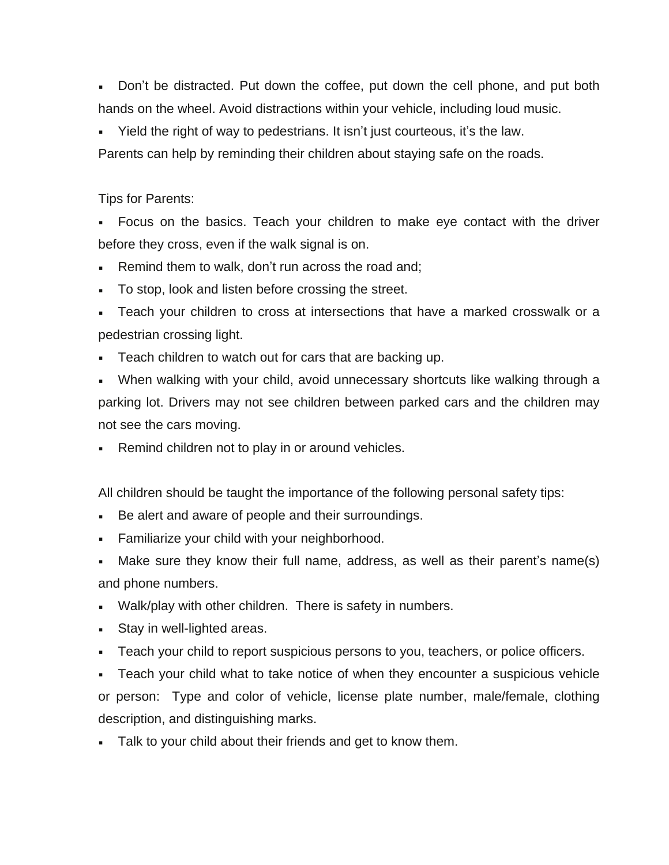Don't be distracted. Put down the coffee, put down the cell phone, and put both hands on the wheel. Avoid distractions within your vehicle, including loud music.

Yield the right of way to pedestrians. It isn't just courteous, it's the law.

Parents can help by reminding their children about staying safe on the roads.

## Tips for Parents:

 Focus on the basics. Teach your children to make eye contact with the driver before they cross, even if the walk signal is on.

- **Remind them to walk, don't run across the road and;**
- To stop, look and listen before crossing the street.
- Teach your children to cross at intersections that have a marked crosswalk or a pedestrian crossing light.
- Teach children to watch out for cars that are backing up.

 When walking with your child, avoid unnecessary shortcuts like walking through a parking lot. Drivers may not see children between parked cars and the children may not see the cars moving.

Remind children not to play in or around vehicles.

All children should be taught the importance of the following personal safety tips:

- Be alert and aware of people and their surroundings.
- Familiarize your child with your neighborhood.
- Make sure they know their full name, address, as well as their parent's name(s) and phone numbers.
- Walk/play with other children. There is safety in numbers.
- **Stay in well-lighted areas.**
- Teach your child to report suspicious persons to you, teachers, or police officers.

 Teach your child what to take notice of when they encounter a suspicious vehicle or person: Type and color of vehicle, license plate number, male/female, clothing description, and distinguishing marks.

Talk to your child about their friends and get to know them.